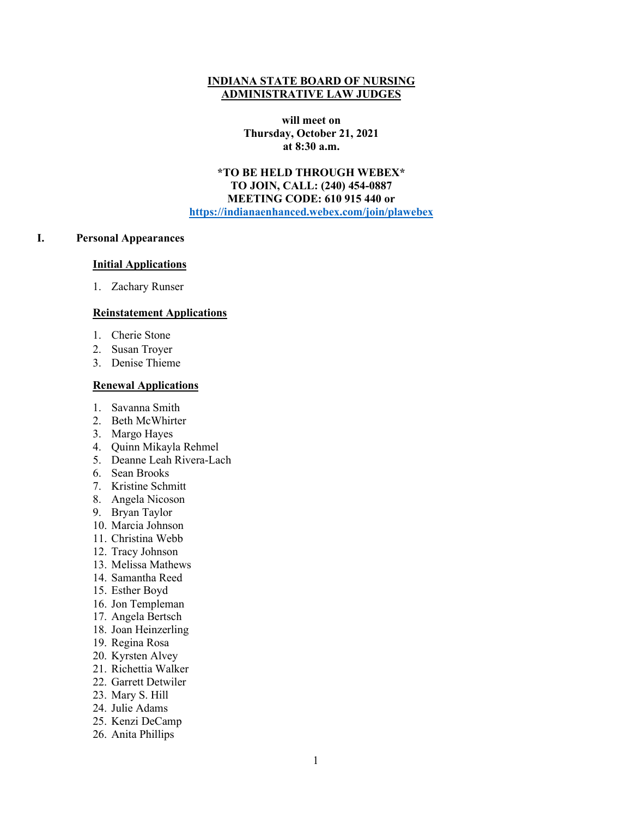#### **INDIANA STATE BOARD OF NURSING ADMINISTRATIVE LAW JUDGES**

**will meet on Thursday, October 21, 2021 at 8:30 a.m.**

**\*TO BE HELD THROUGH WEBEX\* TO JOIN, CALL: (240) 454-0887 MEETING CODE: 610 915 440 or [https://indianaenhanced.webex.com/join/plawebex](https://indianaenhanced.webex.com/join/PLAWebex)**

## **I. Personal Appearances**

#### **Initial Applications**

1. Zachary Runser

#### **Reinstatement Applications**

- 1. Cherie Stone
- 2. Susan Troyer
- 3. Denise Thieme

#### **Renewal Applications**

- 1. Savanna Smith
- 2. Beth McWhirter
- 3. Margo Hayes
- 4. Quinn Mikayla Rehmel
- 5. Deanne Leah Rivera-Lach
- 6. Sean Brooks
- 7. Kristine Schmitt
- 8. Angela Nicoson
- 9. Bryan Taylor
- 10. Marcia Johnson
- 11. Christina Webb
- 12. Tracy Johnson
- 13. Melissa Mathews
- 14. Samantha Reed
- 15. Esther Boyd
- 16. Jon Templeman
- 17. Angela Bertsch
- 18. Joan Heinzerling
- 19. Regina Rosa
- 20. Kyrsten Alvey
- 21. Richettia Walker
- 22. Garrett Detwiler
- 23. Mary S. Hill
- 24. Julie Adams
- 25. Kenzi DeCamp
- 26. Anita Phillips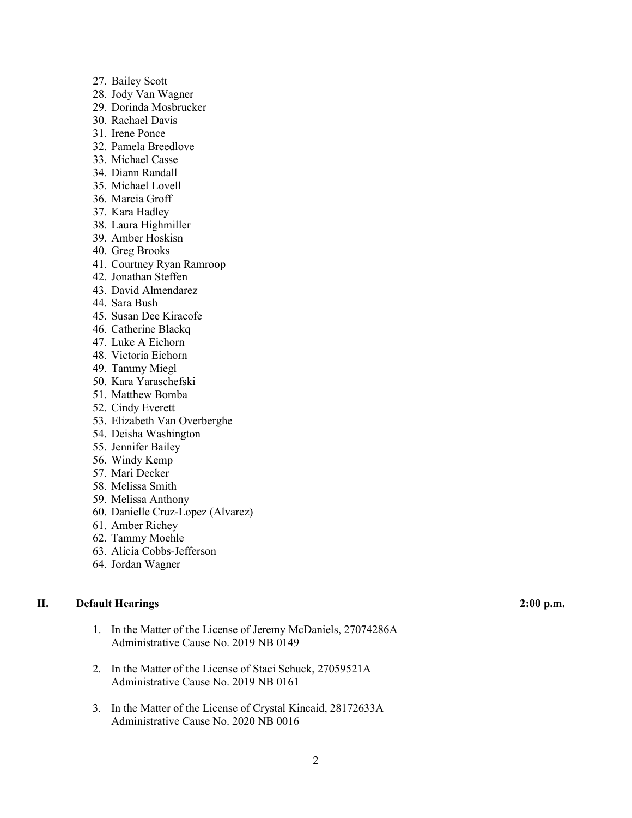- 27. Bailey Scott
- 28. Jody Van Wagner
- 29. Dorinda Mosbrucker
- 30. Rachael Davis
- 31. Irene Ponce
- 32. Pamela Breedlove
- 33. Michael Casse
- 34. Diann Randall
- 35. Michael Lovell
- 36. Marcia Groff
- 37. Kara Hadley
- 38. Laura Highmiller
- 39. Amber Hoskisn
- 40. Greg Brooks
- 41. Courtney Ryan Ramroop
- 42. Jonathan Steffen
- 43. David Almendarez
- 44. Sara Bush
- 45. Susan Dee Kiracofe
- 46. Catherine Blackq
- 47. Luke A Eichorn
- 48. Victoria Eichorn
- 49. Tammy Miegl
- 50. Kara Yaraschefski
- 51. Matthew Bomba
- 52. Cindy Everett
- 53. Elizabeth Van Overberghe
- 54. Deisha Washington
- 55. Jennifer Bailey
- 56. Windy Kemp
- 57. Mari Decker
- 58. Melissa Smith
- 59. Melissa Anthony
- 60. Danielle Cruz-Lopez (Alvarez)
- 61. Amber Richey
- 62. Tammy Moehle
- 63. Alicia Cobbs-Jefferson
- 64. Jordan Wagner

### **II. Default Hearings 2:00 p.m.**

- 1. In the Matter of the License of Jeremy McDaniels, 27074286A Administrative Cause No. 2019 NB 0149
- 2. In the Matter of the License of Staci Schuck, 27059521A Administrative Cause No. 2019 NB 0161
- 3. In the Matter of the License of Crystal Kincaid, 28172633A Administrative Cause No. 2020 NB 0016